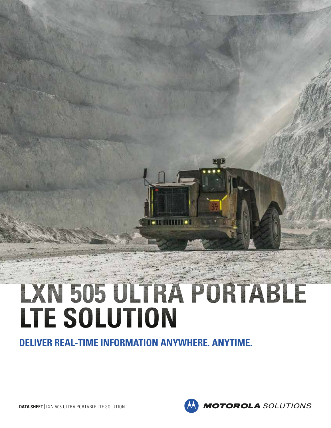# LXN 505 ULTRA PORTABLE LTE SOLUTION

**DELIVER REAL-TIME INFORMATION ANYWHERE. ANYTIME.**

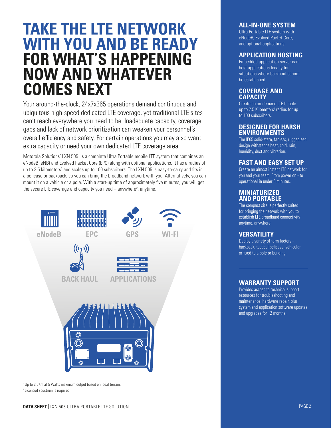## **TAKE THE LTE NETWORK WITH YOU AND BE READY FOR WHAT'S HAPPENING NOW AND WHATEVER COMES NEXT**

Your around-the-clock, 24x7x365 operations demand continuous and ubiquitous high-speed dedicated LTE coverage, yet traditional LTE sites can't reach everywhere you need to be. Inadequate capacity, coverage gaps and lack of network prioritization can weaken your personnel's overall efficiency and safety. For certain operations you may also want extra capacity or need your own dedicated LTE coverage area.

Motorola Solutions' LXN 505 is a complete Ultra Portable mobile LTE system that combines an eNodeB (eNB) and Evolved Packet Core (EPC) along with optional applications. It has a radius of up to 2.5 kilometers<sup>1</sup> and scales up to 100 subscribers. The LXN 505 is easy-to-carry and fits in a pelicase or backpack, so you can bring the broadband network with you. Alternatively, you can mount it on a vehicle or a pole. With a start-up time of approximately five minutes, you will get the secure LTE coverage and capacity you need  $-$  anywhere<sup>2</sup>, anytime.



1 Up to 2.5Km at 5 Watts maximum output based on ideal terrain.

2 Licenced spectrum is required.

#### **ALL-IN-ONE SYSTEM**

Ultra Portable LTE system with eNodeB, Evolved Packet Core, and optional applications.

#### **APPLICATION HOSTING**

Embedded application server can host applications locally for situations where backhaul cannot be established.

#### **COVERAGE AND CAPACITY**

Create an on-demand LTE bubble up to 2.5 Kilometers<sup>1</sup> radius for up to 100 subscribers.

#### **DESIGNED FOR HARSH ENVIRONMENTS**

The IP65 solid-state, fanless, ruggedised design withstands heat, cold, rain, humidity, dust and vibration.

#### **FAST AND EASY SET UP**

Create an almost instant LTE network for you and your team. From power on - to operational in under 5 minutes.

#### **MINIATURIZED AND PORTABLE**

The compact size is perfectly suited for bringing the network with you to establish LTE broadband connectivity anytime, anywhere.

#### **VERSATILITY**

Deploy a variety of form factors backpack, tactical pelicase, vehicular or fixed to a pole or building.

#### **WARRANTY SUPPORT**

Provides access to technical support resources for troubleshooting and maintenance, hardware repair, plus system and application software updates and upgrades for 12 months.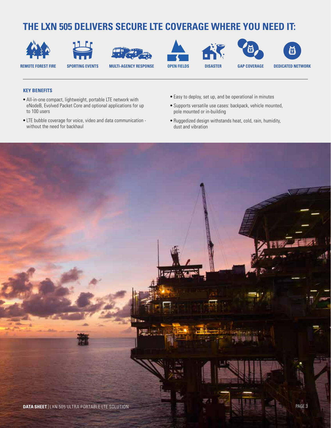### **THE LXN 505 DELIVERS SECURE LTE COVERAGE WHERE YOU NEED IT:**



















#### **KEY BENEFITS**

- **•** All-in-one compact, lightweight, portable LTE network with eNodeB, Evolved Packet Core and optional applications for up to 100 users
- **•** LTE bubble coverage for voice, video and data communication without the need for backhaul
- **•** Easy to deploy, set up, and be operational in minutes
- **•** Supports versatile use cases: backpack, vehicle mounted, pole mounted or in-building
- **•** Ruggedized design withstands heat, cold, rain, humidity, dust and vibration